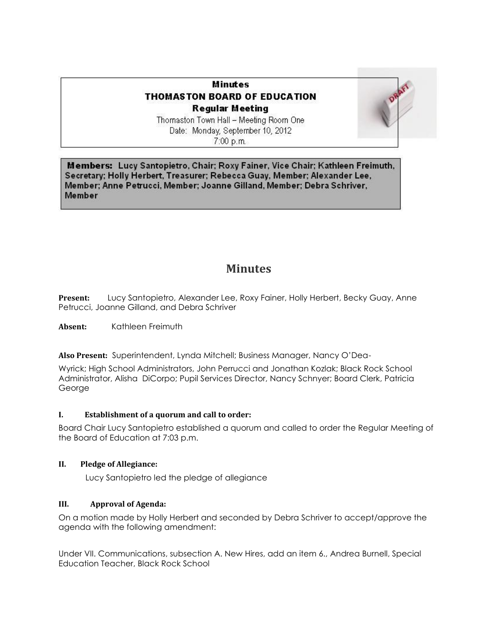# **Minutes THOMASTON BOARD OF EDUCATION Regular Meeting**



Thomaston Town Hall - Meeting Room One Date: Monday, September 10, 2012  $7:00 p.m.$ 

Members: Lucy Santopietro, Chair; Roxy Fainer, Vice Chair; Kathleen Freimuth, Secretary: Holly Herbert, Treasurer; Rebecca Guay, Member; Alexander Lee, Member; Anne Petrucci, Member; Joanne Gilland, Member; Debra Schriver, Member

# **Minutes**

**Present:** Lucy Santopietro, Alexander Lee, Roxy Fainer, Holly Herbert, Becky Guay, Anne Petrucci, Joanne Gilland, and Debra Schriver

**Absent:** Kathleen Freimuth

**Also Present:** Superintendent, Lynda Mitchell; Business Manager, Nancy O'Dea-

Wyrick; High School Administrators, John Perrucci and Jonathan Kozlak; Black Rock School Administrator, Alisha DiCorpo; Pupil Services Director, Nancy Schnyer; Board Clerk, Patricia George

# **I. Establishment of a quorum and call to order:**

Board Chair Lucy Santopietro established a quorum and called to order the Regular Meeting of the Board of Education at 7:03 p.m.

# **II. Pledge of Allegiance:**

Lucy Santopietro led the pledge of allegiance

## **III. Approval of Agenda:**

On a motion made by Holly Herbert and seconded by Debra Schriver to accept/approve the agenda with the following amendment:

Under VII. Communications, subsection A. New Hires, add an item 6., Andrea Burnell, Special Education Teacher, Black Rock School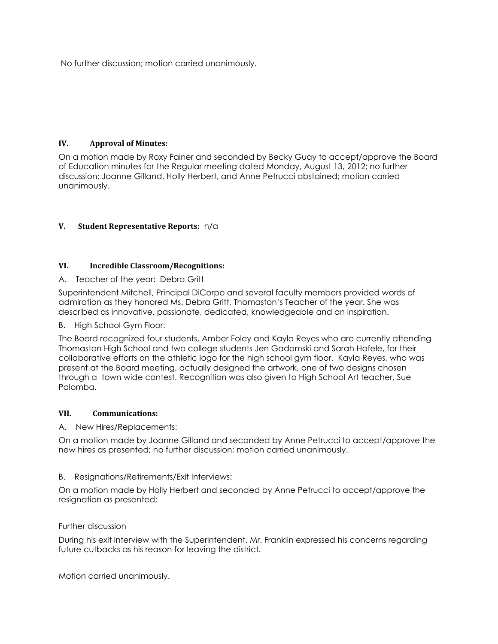No further discussion; motion carried unanimously.

## **IV. Approval of Minutes:**

On a motion made by Roxy Fainer and seconded by Becky Guay to accept/approve the Board of Education minutes for the Regular meeting dated Monday, August 13, 2012; no further discussion; Joanne Gilland, Holly Herbert, and Anne Petrucci abstained; motion carried unanimously.

# **V. Student Representative Reports:** n/a

## **VI. Incredible Classroom/Recognitions:**

## A. Teacher of the year: Debra Gritt

Superintendent Mitchell, Principal DiCorpo and several faculty members provided words of admiration as they honored Ms. Debra Gritt, Thomaston's Teacher of the year. She was described as innovative, passionate, dedicated, knowledgeable and an inspiration.

## B. High School Gym Floor:

The Board recognized four students, Amber Foley and Kayla Reyes who are currently attending Thomaston High School and two college students Jen Gadomski and Sarah Hafele, for their collaborative efforts on the athletic logo for the high school gym floor. Kayla Reyes, who was present at the Board meeting, actually designed the artwork, one of two designs chosen through a town wide contest. Recognition was also given to High School Art teacher, Sue Palomba.

## **VII. Communications:**

## A. New Hires/Replacements:

On a motion made by Joanne Gilland and seconded by Anne Petrucci to accept/approve the new hires as presented; no further discussion; motion carried unanimously.

## B. Resignations/Retirements/Exit Interviews:

On a motion made by Holly Herbert and seconded by Anne Petrucci to accept/approve the resignation as presented;

## Further discussion

During his exit interview with the Superintendent, Mr. Franklin expressed his concerns regarding future cutbacks as his reason for leaving the district.

Motion carried unanimously.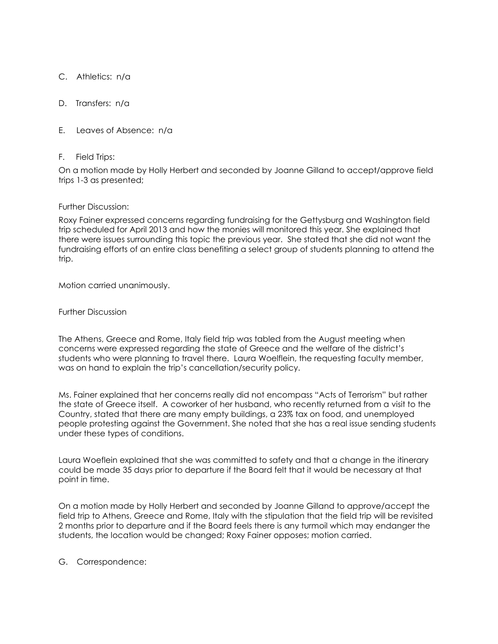C. Athletics: n/a

D. Transfers: n/a

E. Leaves of Absence: n/a

#### F. Field Trips:

On a motion made by Holly Herbert and seconded by Joanne Gilland to accept/approve field trips 1-3 as presented;

#### Further Discussion:

Roxy Fainer expressed concerns regarding fundraising for the Gettysburg and Washington field trip scheduled for April 2013 and how the monies will monitored this year. She explained that there were issues surrounding this topic the previous year. She stated that she did not want the fundraising efforts of an entire class benefiting a select group of students planning to attend the trip.

Motion carried unanimously.

Further Discussion

The Athens, Greece and Rome, Italy field trip was tabled from the August meeting when concerns were expressed regarding the state of Greece and the welfare of the district's students who were planning to travel there. Laura Woelflein, the requesting faculty member, was on hand to explain the trip's cancellation/security policy.

Ms. Fainer explained that her concerns really did not encompass "Acts of Terrorism" but rather the state of Greece itself. A coworker of her husband, who recently returned from a visit to the Country, stated that there are many empty buildings, a 23% tax on food, and unemployed people protesting against the Government. She noted that she has a real issue sending students under these types of conditions.

Laura Woeflein explained that she was committed to safety and that a change in the itinerary could be made 35 days prior to departure if the Board felt that it would be necessary at that point in time.

On a motion made by Holly Herbert and seconded by Joanne Gilland to approve/accept the field trip to Athens, Greece and Rome, Italy with the stipulation that the field trip will be revisited 2 months prior to departure and if the Board feels there is any turmoil which may endanger the students, the location would be changed; Roxy Fainer opposes; motion carried.

G. Correspondence: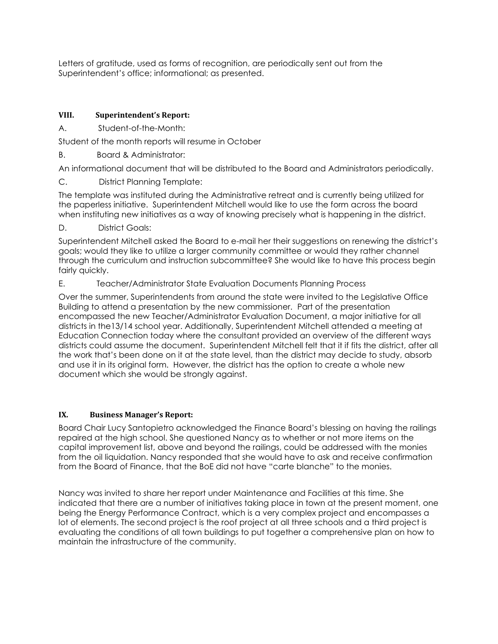Letters of gratitude, used as forms of recognition, are periodically sent out from the Superintendent's office; informational; as presented.

## **VIII. Superintendent's Report:**

A. Student-of-the-Month:

Student of the month reports will resume in October

B. Board & Administrator:

An informational document that will be distributed to the Board and Administrators periodically.

C. District Planning Template:

The template was instituted during the Administrative retreat and is currently being utilized for the paperless initiative. Superintendent Mitchell would like to use the form across the board when instituting new initiatives as a way of knowing precisely what is happening in the district.

D. **District Goals:** 

Superintendent Mitchell asked the Board to e-mail her their suggestions on renewing the district's goals; would they like to utilize a larger community committee or would they rather channel through the curriculum and instruction subcommittee? She would like to have this process begin fairly quickly.

E. Teacher/Administrator State Evaluation Documents Planning Process

Over the summer, Superintendents from around the state were invited to the Legislative Office Building to attend a presentation by the new commissioner. Part of the presentation encompassed the new Teacher/Administrator Evaluation Document, a major initiative for all districts in the13/14 school year. Additionally, Superintendent Mitchell attended a meeting at Education Connection today where the consultant provided an overview of the different ways districts could assume the document. Superintendent Mitchell felt that it if fits the district, after all the work that's been done on it at the state level, than the district may decide to study, absorb and use it in its original form. However, the district has the option to create a whole new document which she would be strongly against.

## **IX. Business Manager's Report:**

Board Chair Lucy Santopietro acknowledged the Finance Board's blessing on having the railings repaired at the high school. She questioned Nancy as to whether or not more items on the capital improvement list, above and beyond the railings, could be addressed with the monies from the oil liquidation. Nancy responded that she would have to ask and receive confirmation from the Board of Finance, that the BoE did not have "carte blanche" to the monies.

Nancy was invited to share her report under Maintenance and Facilities at this time. She indicated that there are a number of initiatives taking place in town at the present moment, one being the Energy Performance Contract, which is a very complex project and encompasses a lot of elements. The second project is the roof project at all three schools and a third project is evaluating the conditions of all town buildings to put together a comprehensive plan on how to maintain the infrastructure of the community.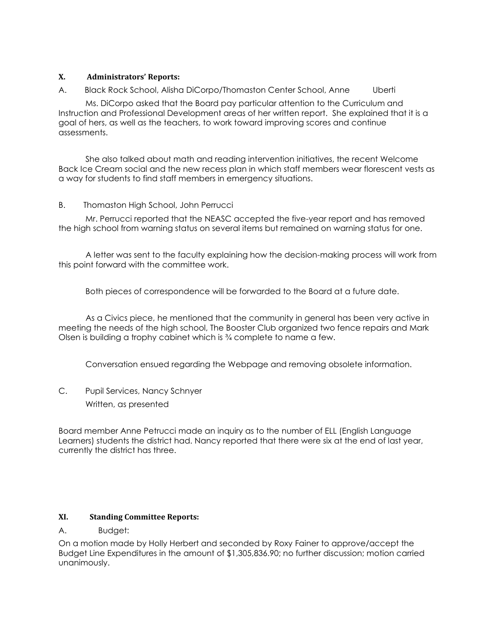## **X. Administrators' Reports:**

A. Black Rock School, Alisha DiCorpo/Thomaston Center School, Anne Uberti Ms. DiCorpo asked that the Board pay particular attention to the Curriculum and Instruction and Professional Development areas of her written report. She explained that it is a goal of hers, as well as the teachers, to work toward improving scores and continue assessments.

 She also talked about math and reading intervention initiatives, the recent Welcome Back Ice Cream social and the new recess plan in which staff members wear florescent vests as a way for students to find staff members in emergency situations.

# B. Thomaston High School, John Perrucci

 Mr. Perrucci reported that the NEASC accepted the five-year report and has removed the high school from warning status on several items but remained on warning status for one.

 A letter was sent to the faculty explaining how the decision-making process will work from this point forward with the committee work.

Both pieces of correspondence will be forwarded to the Board at a future date.

 As a Civics piece, he mentioned that the community in general has been very active in meeting the needs of the high school, The Booster Club organized two fence repairs and Mark Olsen is building a trophy cabinet which is ¾ complete to name a few.

Conversation ensued regarding the Webpage and removing obsolete information.

C. Pupil Services, Nancy Schnyer Written, as presented

Board member Anne Petrucci made an inquiry as to the number of ELL (English Language Learners) students the district had. Nancy reported that there were six at the end of last year, currently the district has three.

## **XI. Standing Committee Reports:**

## A. Budget:

On a motion made by Holly Herbert and seconded by Roxy Fainer to approve/accept the Budget Line Expenditures in the amount of \$1,305,836.90; no further discussion; motion carried unanimously.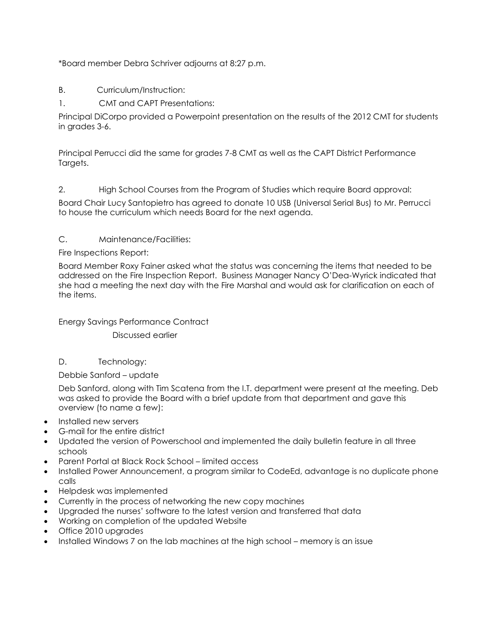\*Board member Debra Schriver adjourns at 8:27 p.m.

- B. Curriculum/Instruction:
- 1. CMT and CAPT Presentations:

Principal DiCorpo provided a Powerpoint presentation on the results of the 2012 CMT for students in grades 3-6.

Principal Perrucci did the same for grades 7-8 CMT as well as the CAPT District Performance Targets.

2. High School Courses from the Program of Studies which require Board approval:

Board Chair Lucy Santopietro has agreed to donate 10 USB (Universal Serial Bus) to Mr. Perrucci to house the curriculum which needs Board for the next agenda.

# C. Maintenance/Facilities:

Fire Inspections Report:

Board Member Roxy Fainer asked what the status was concerning the items that needed to be addressed on the Fire Inspection Report. Business Manager Nancy O'Dea-Wyrick indicated that she had a meeting the next day with the Fire Marshal and would ask for clarification on each of the items.

Energy Savings Performance Contract

Discussed earlier

# D. Technology:

Debbie Sanford – update

Deb Sanford, along with Tim Scatena from the I.T. department were present at the meeting. Deb was asked to provide the Board with a brief update from that department and gave this overview (to name a few):

- Installed new servers
- G-mail for the entire district
- Updated the version of Powerschool and implemented the daily bulletin feature in all three schools
- Parent Portal at Black Rock School limited access
- Installed Power Announcement, a program similar to CodeEd, advantage is no duplicate phone calls
- Helpdesk was implemented
- Currently in the process of networking the new copy machines
- Upgraded the nurses' software to the latest version and transferred that data
- Working on completion of the updated Website
- Office 2010 upgrades
- Installed Windows 7 on the lab machines at the high school memory is an issue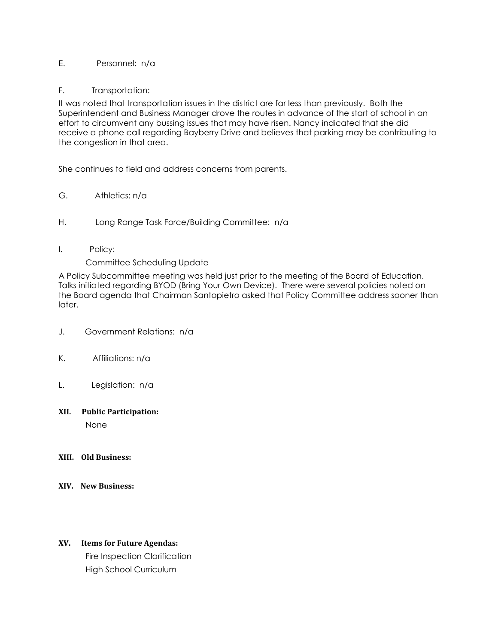## E. Personnel: n/a

#### F. Transportation:

It was noted that transportation issues in the district are far less than previously. Both the Superintendent and Business Manager drove the routes in advance of the start of school in an effort to circumvent any bussing issues that may have risen. Nancy indicated that she did receive a phone call regarding Bayberry Drive and believes that parking may be contributing to the congestion in that area.

She continues to field and address concerns from parents.

- G. Athletics: n/a
- H. Long Range Task Force/Building Committee: n/a
- I. Policy:

#### Committee Scheduling Update

A Policy Subcommittee meeting was held just prior to the meeting of the Board of Education. Talks initiated regarding BYOD (Bring Your Own Device). There were several policies noted on the Board agenda that Chairman Santopietro asked that Policy Committee address sooner than later.

- J. Government Relations: n/a
- K. Affiliations: n/a
- L. Legislation: n/a

#### **XII. Public Participation:**

None

- **XIII. Old Business:**
- **XIV. New Business:**

## **XV. Items for Future Agendas:**

 Fire Inspection Clarification High School Curriculum